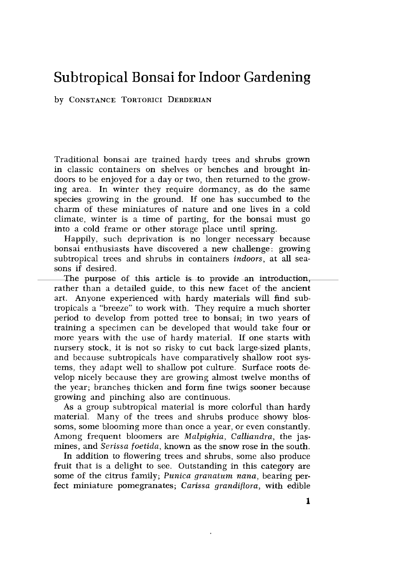# Subtropical Bonsai for Indoor Gardening

### by CONSTANCE TORTORICI DERDERIAN

Traditional bonsai are trained hardy trees and shrubs grown in classic containers on shelves or benches and brought indoors to be enjoyed for a day or two, then returned to the growing area. In winter they require dormancy, as do the same species growing in the ground. If one has succumbed to the charm of these miniatures of nature and one lives in a cold climate, winter is a time of parting, for the bonsai must go into a cold frame or other storage place until spring. to the grow-<br>do the same<br>mbed to the<br>res in a cold<br>sai must go<br>ring.<br>ary because<br>ge: growing<br>ge: growing<br>s, at all sea-<br>introduction,<br>ite ancient<br>vill find sub-<br>much shorter

Happily, such deprivation is no longer necessary because bonsai enthusiasts have discovered a new challenge: growing subtropical trees and shrubs in containers indoors, at all sea-

sons if desired.<br>The purpose he purpose of this article is to provide an introduction,<br>rather than a detailed guide, to this new facet of the ancient of this article is to provide an art. Anyone experienced with hardy materials will find subtropicals a "breeze" to work with. They require a much shorter period to develop from potted tree to bonsai; in two years of training a specimen can be developed that would take four or more years with the use of hardy material. If one starts with nursery stock, it is not so risky to cut back large-sized plants, and because subtropicals have comparatively shallow root systems, they adapt well to shallow pot culture. Surface roots develop nicely because they are growing almost twelve months of the year; branches thicken and form fine twigs sooner because growing and pinching also are continuous.

As a group subtropical material is more colorful than hardy material. Many of the trees and shrubs produce showy blossoms, some blooming more than once a year, or even constantly. Among frequent bloomers are Malpighia, Calliandra, the jasmines, and Serissa foetida, known as the snow rose in the south.

In addition to flowering trees and shrubs, some also produce fruit that is a delight to see. Outstanding in this category are some of the citrus family; Punica granatum nana, bearing perfect miniature pomegranates; Carissa grandiflora, with edible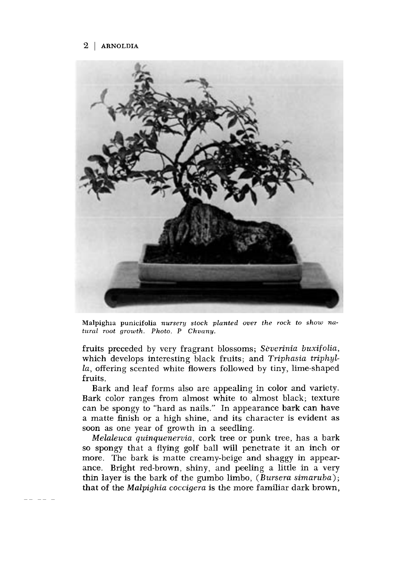

Malpighia punicifolia nursery stock planted over the rock to show natural root growth. Photo. P Chvany.

fruits preceded by very fragrant blossoms; Séverinia buxifolia, which develops interesting black fruits; and Triphasia triphylla, offering scented white flowers followed by tiny, lime-shaped fruits.

Bark and leaf forms also are appealing in color and variety. Bark color ranges from almost white to almost black; texture can be spongy to "hard as nails." In appearance bark can have a matte finish or a high shine, and its character is evident as soon as one year of growth in a seedling.

Melaleuca quinquenervia, cork tree or punk tree, has a bark so spongy that a flying golf ball will penetrate it an inch or more. The bark is matte creamy-beige and shaggy in appear ance. Bright red-brown, shiny, and peeling a little in a very thin layer is the bark of the gumbo limbo, (Bursera simaruba); that of the Malpighia coccigera is the more familiar dark brown,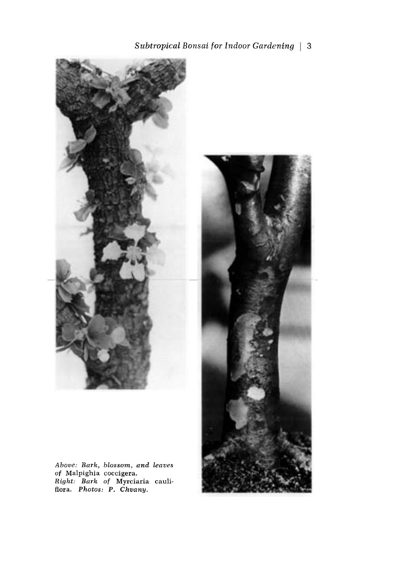Subtropical Bonsai for Indoor Gardening | 3



Above: Bark, blossom, and leaves of Malpighia coccigera. Right: Bark of Myrciaria cauliflora. Photos: P. Chvany.

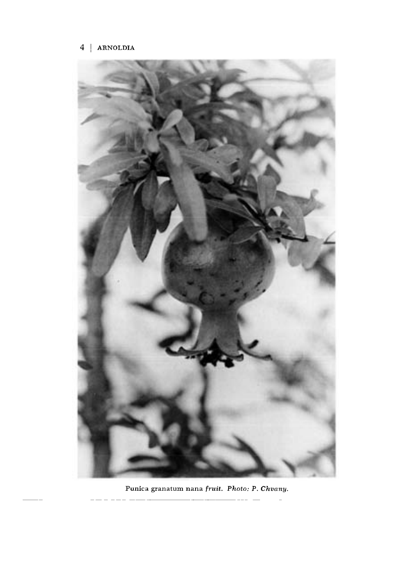L



Punica granatum nana fruit. Photo: P. Chvany.

 $\overline{a}$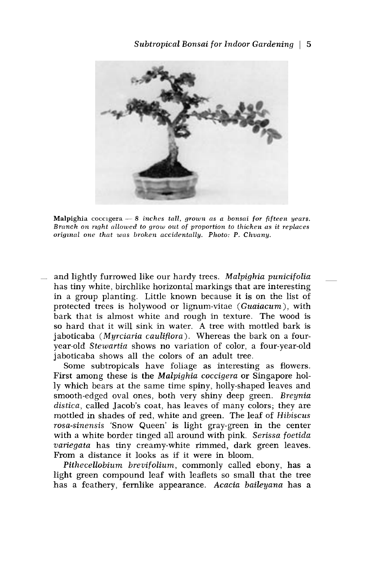

Malpighia coccigera  $-8$  inches tall, grown as a bonsai for fifteen years. Branch on right nllowed to grow out of proportion to thicken as it replaces original one that was broken accidentally. Photo: P. Chvany.

and lightly furrowed like our hardy trees. Malpighia punicifolia has tiny white, birchlike horizontal markings that are interesting in a group planting. Little known because it is on the list of protected trees is holywood or lignum-vitae (Guaiacum), with bark that is almost white and rough in texture. The wood is so hard that it will sink in water. A tree with mottled bark is jaboticaba (Myrciaria cauliflora). Whereas the bark on a fouryear-old Stewartia shows no variation of color, a four-year-old jaboticaba shows all the colors of an adult tree.

Some subtropicals have foliage as interesting as flowers. First among these is the Malpighia coccigera or Singapore holly which bears at the same time spiny, holly-shaped leaves and smooth-edged oval ones, both very shiny deep green. Breynia distica, called Jacob's coat, has leaves of many colors; they are mottled in shades of red, white and green. The leaf of Hibiscus rosa-sinensis 'Snow Queen' is light gray-green in the center with a white border tinged all around with pink. Serissa foetida variegata has tiny creamy-white rimmed, dark green leaves. From a distance it looks as if it were in bloom.

Pithecellobium brevifolium, commonly called ebony, has a light green compound leaf with leaflets so small that the tree has a feathery, fernlike appearance. Acacia baileyana has a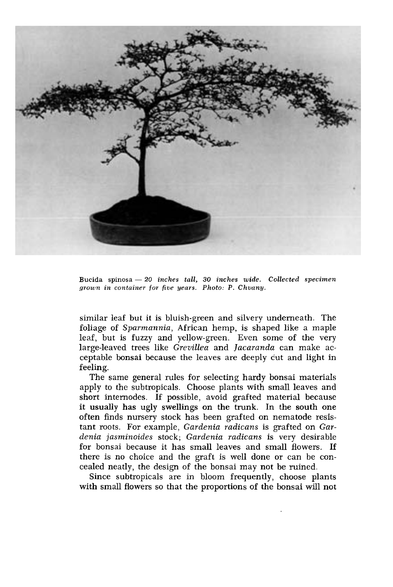

Bucida spinosa  $-20$  inches tall, 30 inches wide. Collected specimen grown in container for five years. Photo: P. Chvany.

similar leaf but it is bluish-green and silvery underneath. The foliage of Sparmannia, African hemp, is shaped like a maple leaf, but is fuzzy and yellow-green. Even some of the very large-leaved trees like Grevillea and Jacaranda can make acceptable bonsai because the leaves are deeply cut and light in feeling.

The same general rules for selecting hardy bonsai materials apply to the subtropicals. Choose plants with small leaves and short internodes. If possible, avoid grafted material because it usually has ugly swellings on the trunk. In the south one often finds nursery stock has been grafted on nematode resistant roots. For example, Gardenia radicans is grafted on Gardenia jasminoides stock; Gardenia radicans is very desirable for bonsai because it has small leaves and small flowers. If there is no choice and the graft is well done or can be concealed neatly, the design of the bonsai may not be ruined.

Since subtropicals are in bloom frequently, choose plants with small flowers so that the proportions of the bonsai will not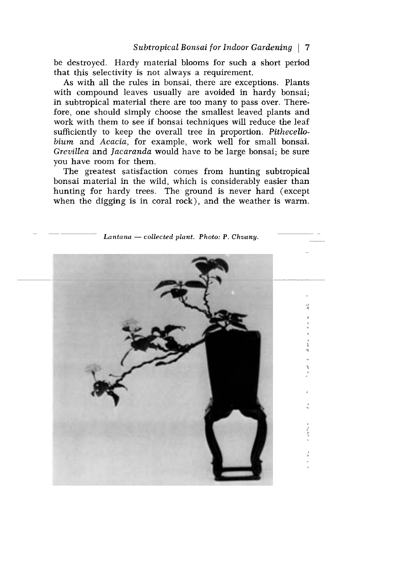be destroyed. Hardy material blooms for such a short period that this selectivity is not always a requirement.

As with all the rules in bonsai, there are exceptions. Plants with compound leaves usually are avoided in hardy bonsai; in subtropical material there are too many to pass over. Therefore, one should simply choose the smallest leaved plants and work with them to see if bonsai techniques will reduce the leaf sufficiently to keep the overall tree in proportion. Pithecellobium and Acacia, for example, work well for small bonsai. Grevillea and Jacaranda would have to be large bonsai; be sure you have room for them.

The greatest satisfaction comes from hunting subtropical bonsai material in the wild, which is considerably easier than hunting for hardy trees. The ground is never hard (except when the digging is in coral rock), and the weather is warm.

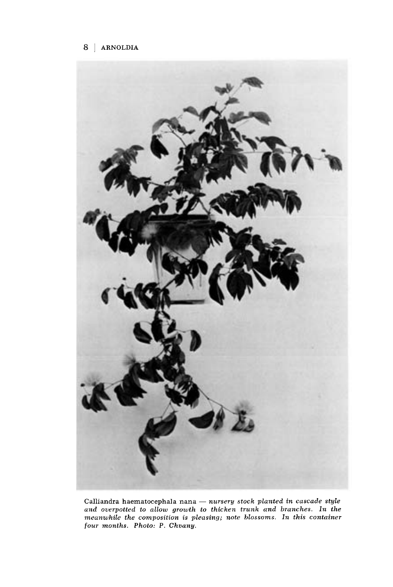

Calliandra haematocephala nana  $-$  nursery stock planted in cascade style and overpotted to allow growth to thicken trunk and branches. In the meanwhile the composition is pleasing; note blossoms. In this container four months. Photo: P. Chvany.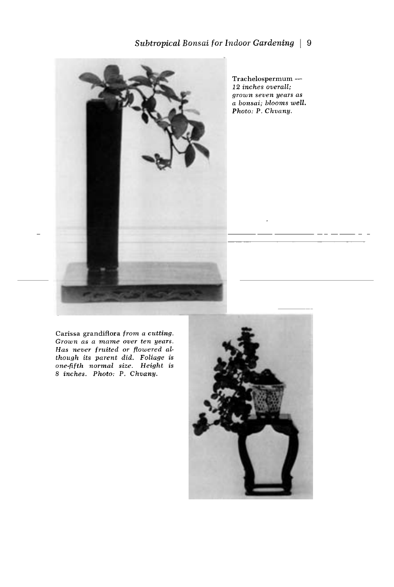

Trachelospermum - 12 inches overall; grown seven years as a bonsai; blooms well. Photo: P. Chvany.

Carissa grandiflora from a cutting. Grown as a mame over ten years. Has never fruited or flowered although its parent did. Foliage is one-fifth normal size. Height is 8 inches. Photo: P. Chvany.

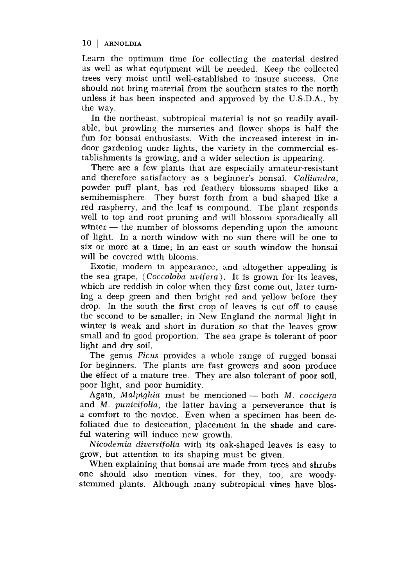Learn the optimum time for collecting the material desired as well as what equipment will be needed. Keep the collected trees very moist until well-established to insure success. One should not bring material from the southern states to the north unless it has been inspected and approved by the U.S.D.A., by the way.

In the northeast, subtropical material is not so readily available, but prowling the nurseries and flower shops is half the fun for bonsai enthusiasts. With the increased interest in indoor gardening under lights, the variety in the commercial establishments is growing, and a wider selection is appearing.

There are a few plants that are especially amateur-resistant and therefore satisfactory as a beginner's bonsai. Calliandra, powder puff plant, has red feathery blossoms shaped like a semihemisphere. They burst forth from a bud shaped like a red raspberry, and the leaf is compound. The plant responds well to top and root pruning and will blossom sporadically all winter  $-$  the number of blossoms depending upon the amount of light. In a north window with no sun there will be one to six or more at a time; in an east or south window the bonsai will be covered with blooms.

Exotic, modem in appearance, and altogether appealing is the sea grape, (Coccoloba uvifera). It is grown for its leaves, which are reddish in color when they first come out, later turning a deep green and then bright red and yellow before they drop. In the south the first crop of leaves is cut off to cause the second to be smaller; in New England the normal light in winter is weak and short in duration so that the leaves grow small and in good proportion. The sea grape is tolerant of poor light and dry soil.

The genus Ficus provides a whole range of rugged bonsai for beginners. The plants are fast growers and soon produce the effect of a mature tree. They are also tolerant of poor soil, poor light, and poor humidity.

Again, Malpighia must be mentioned  $-$  both M. coccigera and M. punicifolia, the latter having a perseverance that is a comfort to the novice. Even when a specimen has been defoliated due to desiccation, placement in the shade and care-<br>ful watering will induce new growth.

Nicodemia diversifolia with its oak-shaped leaves is easy to grow, but attention to its shaping must be given.

When explaining that bonsai are made from trees and shrubs<br>one should also mention vines, for they, too, are woodystemmed plants. Although many subtropical vines have blos-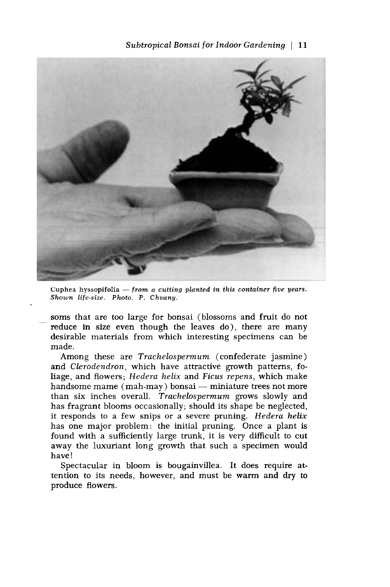

Cuphea hyssopifolia  $-$  from a cutting planted in this container five years. Shown life-size. Photo. P. Chvany.

soms that are too large for bonsai (blossoms and fruit do not reduce in size even though the leaves do), there are many desirable materials from which interesting specimens can be made.

Among these are Trachelospermum (confederate jasmine) and Clerodendron, which have attractive growth patterns, foliage, and flowers; Hedera helix and Ficus repens, which make handsome mame (mah-may) bonsai — miniature trees not more than six inches overall. Trachelospermum grows slowly and has fragrant blooms occasionally; should its shape be neglected, it responds to a few snips or a severe pruning. Hedera helix has one major problem: the initial pruning. Once a plant is found with a sufficiently large trunk, it is very difficult to cut away the luxuriant long growth that such a specimen would have!

Spectacular in bloom is bougainvillea. It does require attention to its needs, however, and must be warm and dry to produce flowers.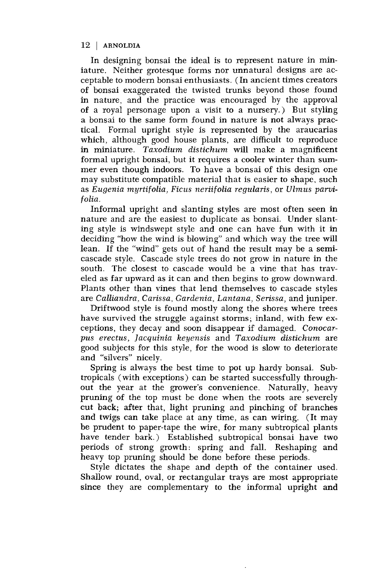In designing bonsai the ideal is to represent nature in miniature. Neither grotesque forms nor unnatural designs are acceptable to modern bonsai enthusiasts. (In ancient times creators of bonsai exaggerated the twisted trunks beyond those found in nature, and the practice was encouraged by the approval of a royal personage upon a visit to a nursery.) But styling a bonsai to the same form found in nature is not always practical. Formal upright style is represented by the araucarias which, although good house plants, are difficult to reproduce in miniature. Taxodium distichum will make a magnificent formal upright bonsai, but it requires a cooler winter than summer even though indoors. To have a bonsai of this design one may substitute compatible material that is easier to shape, such as Eugenia myrtifolia, Ficus neriifolia regularis, or Ulmus parvifolia.

Informal upright and slanting styles are most often seen in nature and are the easiest to duplicate as bonsai. Under slanting style is windswept style and one can have fun with it in deciding "how the wind is blowing" and which way the tree will lean. If the "wind" gets out of hand the result may be a semicascade style. Cascade style trees do not grow in nature in the south. The closest to cascade would be a vine that has traveled as far upward as it can and then begins to grow downward. Plants other than vines that lend themselves to cascade styles are Calliandra, Carissa, Gardenia, Lantana, Serissa, and juniper.

Driftwood style is found mostly along the shores where trees have survived the struggle against storms; inland, with few exceptions, they decay and soon disappear if damaged. Conocarpus erectus, Jacquinia keyensis and Taxodium distichum are good subjects for this style, for the wood is slow to deteriorate and "silvers" nicely.

Spring is always the best time to pot up hardy bonsai. Subtropicals (with exceptions) can be started successfully through out the year at the grower's convenience. Naturally, heavy pruning of the top must be done when the roots are severely cut back; after that, light pruning and pinching of branches and twigs can take place at any time, as can wiring. (It may be prudent to paper-tape the wire, for many subtropical plants have tender bark.) Established subtropical bonsai have two periods of strong growth: spring and fall. Reshaping and heavy top pruning should be done before these periods.

Style dictates the shape and depth of the container used. Shallow round, oval, or rectangular trays are most appropriate since they are complementary to the informal upright and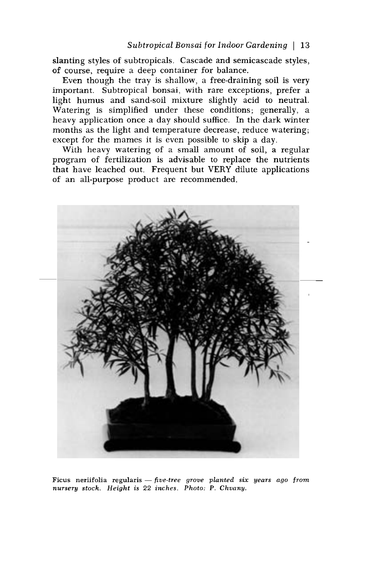slanting styles of subtropicals. Cascade and semicascade styles, of course, require a deep container for balance.

Even though the tray is shallow, a free-draining soil is very important. Subtropical bonsai, with rare exceptions, prefer a light humus and sand-soil mixture slightly acid to neutral. Watering is simplified under these conditions; generally, a heavy application once a day should suffice. In the dark winter months as the light and temperature decrease, reduce watering; except for the mames it is even possible to skip a day.

With heavy watering of a small amount of soil, a regular program of fertilization is advisable to replace the nutrients that have leached out. Frequent but VERY dilute applications of an all-purpose product are recommended.



Ficus neriifolia regularis  $-$  five-tree grove planted six years ago from nursery stock. Height is 22 inches. Photo: P. Chvany.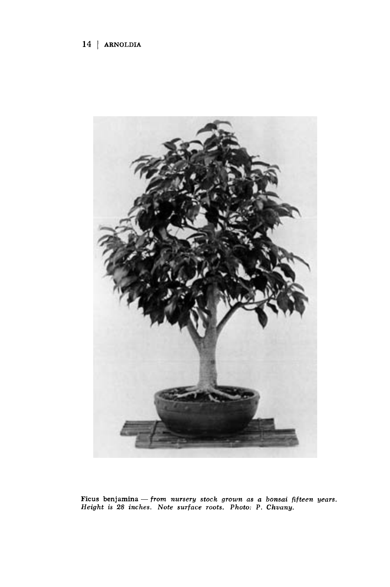

Ficus benjamina — from nursery stock grown as a bonsai fifteen years. Height is 28 inches. Note surface roots. Photo: P. Chvany.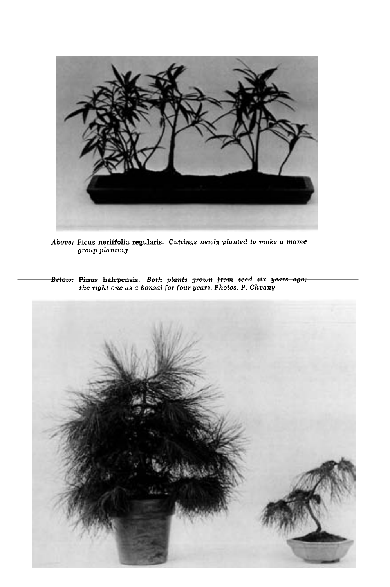

Above: Ficus neriifolia regularis. Cuttings newly planted to make a mame group planting.

Above: Ficus neriifolia regularis. Cuttings newly planted to make a mame<br>group planting.<br>Below: Pinus halepensis. Both plants grown from seed six years-ago;<br>the right one as a bonsai for four years. Photos: P. Chvany.

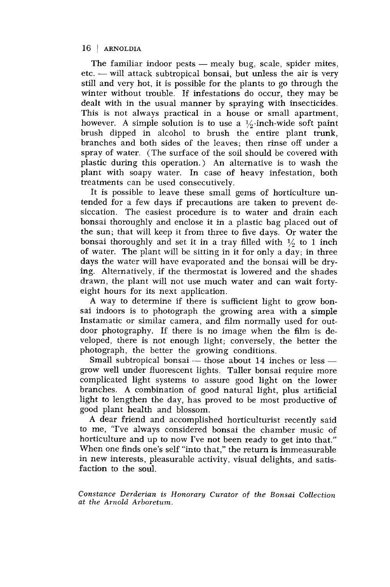The familiar indoor pests - mealy bug, scale, spider mites, etc. -- will attack subtropical bonsai, but unless the air is very still and very hot, it is possible for the plants to go through the winter without trouble. If infestations do occur, they may be dealt with in the usual manner by spraying with insecticides. This is not always practical in a house or small apartment, however. A simple solution is to use a  $\frac{1}{2}$ -inch-wide soft paint brush dipped in alcohol to brush the entire plant trunk, branches and both sides of the leaves; then rinse off under a spray of water. (The surface of the soil should be covered with plastic during this operation.) An alternative is to wash the plant with soapy water. In case of heavy infestation, both treatments can be used consecutively.

It is possible to leave these small gems of horticulture untended for a few days if precautions are taken to prevent desiccation. The easiest procedure is to water and drain each bonsai thoroughly and enclose it in a plastic bag placed out of the sun; that will keep it from three to five days. Or water the bonsai thoroughly and set it in a tray filled with  $\frac{1}{6}$  to 1 inch of water. The plant will be sitting in it for only a day; in three days the water will have evaporated and the bonsai will be drying. Alternatively, if the thermostat is lowered and the shades drawn, the plant will not use much water and can wait fortyeight hours for its next application.

A way to determine if there is sufficient light to grow bon-<br>sai indoors is to photograph the growing area with a simple Instamatic or similar camera, and film normally used for outdoor photography. If there is no image when the film is developed, there is not enough light; conversely, the better the photograph, the better the growing conditions.

Small subtropical bonsai  $-$  those about 14 inches or less  $$ grow well under fluorescent lights. Taller bonsai require more complicated light systems to assure good light on the lower branches. A combination of good natural light, plus artificial light to lengthen the day, has proved to be most productive of good plant health and blossom.

A dear friend and accomplished horticulturist recently said to me, "I've always considered bonsai the chamber music of horticulture and up to now I've not been ready to get into that." When one finds one's self "into that," the return is immeasurable in new interests, pleasurable activity, visual delights, and satisfaction to the soul.

Constance Derderian is Honorary Curator of the Bonsai Collection at the Arnold Arboretum.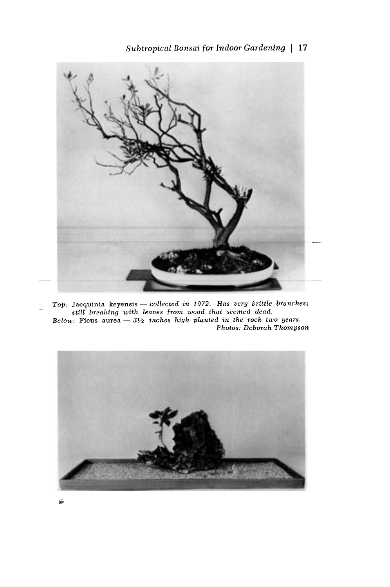

- Top: Jacquinia keyensis - collected in 1972. Has very brittle branches; still breaking with leaves from wood that seemed dead. Below: Ficus aurea  $-3\frac{1}{2}$  inches high planted in the rock two years. Photos: Deborah Thompson

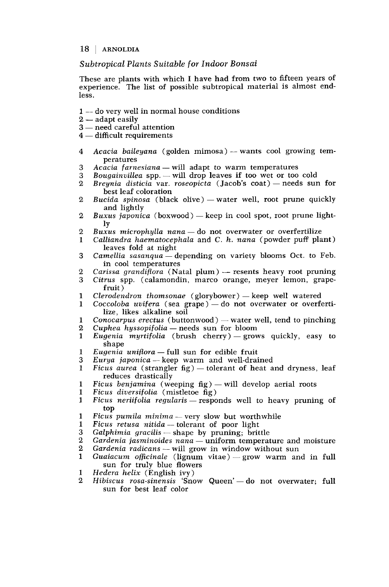#### Subtropical Plants Suitable for Indoor Bonsai

These are plants with which I have had from two to fifteen years of experience. The list of possible subtropical material is almost endless.

- 1 do very well in normal house conditions
- $2 -$  adapt easily
- 3 need careful attention
- $4$  difficult requirements
- 4 Acacia baileyana (golden mimosa) wants cool growing temperatures
- 3 Acacia farnesiana will adapt to warm temperatures<br>3 Bougainvillea spp. will drop leaves if too wet or too
- 3 Bougainvillea spp. will drop leaves if too wet or too cold 2 Breunia disticia var. roseopicta (Jacob's coat) needs sur
- Breynia disticia var. roseopicta (Jacob's coat) needs sun for best leaf coloration
- 2 Bucida spinosa (black olive) water well, root prune quickly and lightly
- 2 Buxus japonica (boxwood) keep in cool spot, root prune light-<br>ly
- 2 Buxus microphylla nana  $-$  do not overwater or overfertilize<br>1 Calliandra haematocephala and C. h. nana (powder puff pla
- $Calliandra$  haematocephala and C. h. nana (powder puff plant) leaves fold at night
- 3 Camellia sasanqua depending on variety blooms Oct. to Feb.<br>in cool temperatures
- 2 Carissa grandiflora (Natal plum) -- resents heavy root pruning<br>3 Citrus spp. (calamondin, marco orange, meyer lemon, grape-
- Citrus spp. (calamondin, marco orange, meyer lemon, grapefruit)
- 
- 1 Clerodendron thomsonae (glorybower) keep well watered<br>1 Coccoloba uvifera (sea grape) do not overwater or overfe  $Coccoloba$  uvifera (sea grape) — do not overwater or overfertilize, likes alkaline soil
- 1 Conocarpus erectus (buttonwood) water well, tend to pinching<br>2 Cuphea hyssopifolia needs sun for bloom<br>1 Eugenia murtifolia (brush cherry) grows quickly, easy to
- 
- $Eugenia$  myrtifolia (brush cherry) grows quickly, easy to shape
- 1 Eugenia uniflora full sun for edible fruit<br>3 Eurua iaponica keep warm and well-drai
- 3 *Eurya japonica* keep warm and well-drained<br>1 *Ficus aurea* (strangler fig) tolerant of heat a
- Ficus aurea (strangler fig) tolerant of heat and dryness, leaf<br>reduces drastically
- 1 Ficus benjamina (weeping fig) will develop aerial roots<br>1 Ficus diversifolia (mistletoe fig)
- 
- 1 Ficus neriifolia regularis responds well to heavy pruning of top
- 1 Ficus pumila minima very slow but worthwhile<br>1 Ficus retusa nitida tolerant of poor light
- 1 Ficus retusa nitida tolerant of poor light<br>3 Galphimia gracilis shape by pruning; brit
- 3 Galphimia gracilis shape by pruning; brittle<br>2 Gardenia jasminoides nana uniform temperat
- 2 Gardenia jasminoides nana uniform temperature and moisture  $2$  Gardenia radicans will grow in window without sun
- 2 Gardenia radicans will grow in window without sun<br>1 Guaiacum officinale (lignum vitae) grow warm an
- Guaiacum officinale (lignum vitae)-grow warm and in full sun for truly blue flowers<br>Hedera helix (English ivy)
- 
- 1 Hedera helix (English ivy)<br>2 Hibiscus rosa-sinensis 'Snow Queen' do not overwater; full sun for best leaf color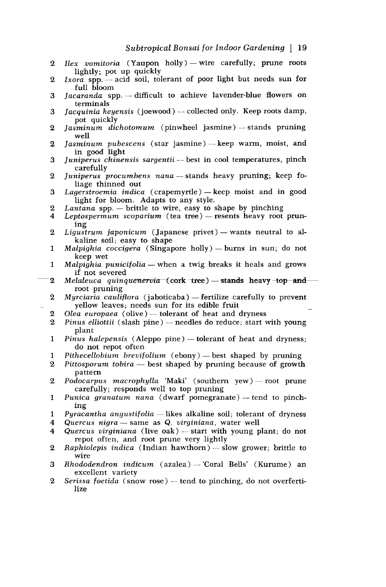- 2 Ilex vomitoria (Yaupon holly) wire carefully; prune roots lightly; pot up quickly
- $2$  Ixora spp. acid soil, tolerant of poor light but needs sun for full bloom
- $3$  Jacaranda spp. difficult to achieve lavender-blue flowers on terminals
- 3 *Jacquinia keyensis* (joewood) -- collected only. Keep roots damp, pot quickly
- 2 Jasminum dichotomum (pinwheel jasmine) stands pruning well
- 2 *Jasminum pubescens* (star jasmine) keep warm, moist, and in good light
- 3 Juniperus chinensis sargentii best in cool temperatures, pinch carefully
- 2 Juniperus procumbens nana stands heavy pruning; keep foliage thinned out
- 3 Lagerstroemia indica (crapemyrtle) keep moist and in good<br>light for bloom. Adapts to any style.
- 
- 2 Lantana spp. brittle to wire, easy to shape by pinching<br>4 Leptospermum scoparium (tea tree) resents heavy root prun-<br>ing
- 2 Ligustrum japonicum (Japanese privet) wants neutral to al-<br>kaline soil; easy to shape
- 1 Malpighia coccigera (Singapore holly) burns in sun; do not keep wet
- 1 Malpighia punicifolia when a twig breaks it heals and grows if not severed
- 2 Melaleuca quinquenervia (cork tree) stands heavy -top androot pruning
- 2 Myrciaria cauliflora (jaboticaba) fertilize carefully to prevent yellow leaves; needs sun for its edible fruit 2 Olea europaea (olive) tolerant of heat and dryness
- 2 Olea europaea (olive) tolerant of heat and dryness<br>2 Pinus elliottii (slash pine) needles do reduce; start v
- Pinus elliottii (slash pine)  $-$  needles do reduce; start with young plant
- 1 Pinus halepensis (Aleppo pine) tolerant of heat and dryness; do not repot often<br> $Pithecellobium brevifolium (ebony)$  best shaped by pruning
- 1 Pithecellobium brevifolium (ebony) best shaped by pruning 2 Pittosporum tobira best shaped by pruning because of growth
- pattern
- 2 Podocarpus macrophylla 'Maki' (southern yew) root prune carefully; responds well to top pruning
- 1 Punica granatum nana (dwarf pomegranate) tend to pinching
- 1 Pyracantha angustifolia likes alkaline soil; tolerant of dryness<br>4 Ouercus nigra same as Q. virginiana, water well
- 4 Quercus nigra same as Q. virginiana, water well<br>4 Quercus virginiana (live oak) start with young p
- Quercus virginiana (live  $oak$ ) start with young plant; do not repot often, and root prune very lightly
- 2 Raphiolepis indica (Indian hawthorn) slow grower; brittle to wire
- 3 Rhododendron indicum (azalea) 'Coral Bells' (Kurume) an excellent variety
- 2 Serissa foetida (snow rose) tend to pinching, do not overfertilize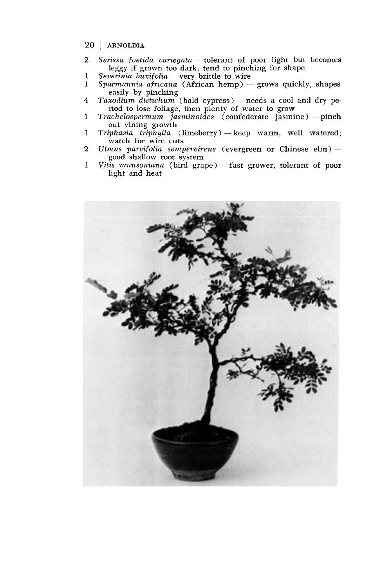- 20 | ARNOLDIA
- 2 Serissa foetida variegata tolerant of poor light but becomes<br>leggy if grown too dark; tend to pinching for shape
- 1 Severinia buxifolia very brittle to wire<br>1 Sparmannia africana (African hemp) -
- Sparmannia africana (African hemp) grows quickly, shapes easily by pinching
- 4 Taxodium distichum (bald cypress) needs a cool and dry period to lose foliage, then plenty of water to grow
- 1 Trachelospermum jasminoides (confederate jasmine) pinch<br>out vining growth<br>1 Triphasia triphylla (limeberry) keep warm, well watered;
- Triphasia triphylla (limeberry) keep warm, well watered; watch for wire cuts
- 2 Ulmus parvifolia sempervirens (evergreen or Chinese elm) -- good shallow root system
- 1 Vitis munsoniana (bird grape) fast grower, tolerant of poor light and heat